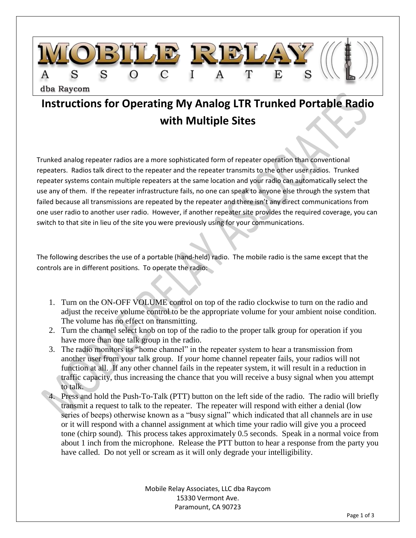

## **Instructions for Operating My Analog LTR Trunked Portable Radio with Multiple Sites**

Trunked analog repeater radios are a more sophisticated form of repeater operation than conventional repeaters. Radios talk direct to the repeater and the repeater transmits to the other user radios. Trunked repeater systems contain multiple repeaters at the same location and your radio can automatically select the use any of them. If the repeater infrastructure fails, no one can speak to anyone else through the system that failed because all transmissions are repeated by the repeater and there isn't any direct communications from one user radio to another user radio. However, if another repeater site provides the required coverage, you can switch to that site in lieu of the site you were previously using for your communications.

The following describes the use of a portable (hand-held) radio. The mobile radio is the same except that the controls are in different positions. To operate the radio:

- 1. Turn on the ON-OFF VOLUME control on top of the radio clockwise to turn on the radio and adjust the receive volume control to be the appropriate volume for your ambient noise condition. The volume has no effect on transmitting.
- 2. Turn the channel select knob on top of the radio to the proper talk group for operation if you have more than one talk group in the radio.
- 3. The radio monitors its "home channel" in the repeater system to hear a transmission from another user from your talk group. If *your* home channel repeater fails, your radios will not function at all. If any other channel fails in the repeater system, it will result in a reduction in traffic capacity, thus increasing the chance that you will receive a busy signal when you attempt to talk.
- 4. Press and hold the Push-To-Talk (PTT) button on the left side of the radio. The radio will briefly transmit a request to talk to the repeater. The repeater will respond with either a denial (low series of beeps) otherwise known as a "busy signal" which indicated that all channels are in use or it will respond with a channel assignment at which time your radio will give you a proceed tone (chirp sound). This process takes approximately 0.5 seconds. Speak in a normal voice from about 1 inch from the microphone. Release the PTT button to hear a response from the party you have called. Do not yell or scream as it will only degrade your intelligibility.

Mobile Relay Associates, LLC dba Raycom 15330 Vermont Ave. Paramount, CA 90723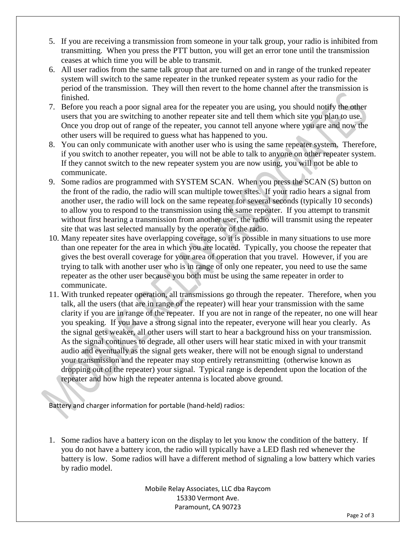- 5. If you are receiving a transmission from someone in your talk group, your radio is inhibited from transmitting. When you press the PTT button, you will get an error tone until the transmission ceases at which time you will be able to transmit.
- 6. All user radios from the same talk group that are turned on and in range of the trunked repeater system will switch to the same repeater in the trunked repeater system as your radio for the period of the transmission. They will then revert to the home channel after the transmission is finished.
- 7. Before you reach a poor signal area for the repeater you are using, you should notify the other users that you are switching to another repeater site and tell them which site you plan to use. Once you drop out of range of the repeater, you cannot tell anyone where you are and now the other users will be required to guess what has happened to you.
- 8. You can only communicate with another user who is using the same repeater system. Therefore, if you switch to another repeater, you will not be able to talk to anyone on other repeater system. If they cannot switch to the new repeater system you are now using, you will not be able to communicate.
- 9. Some radios are programmed with SYSTEM SCAN. When you press the SCAN (S) button on the front of the radio, the radio will scan multiple tower sites. If your radio hears a signal from another user, the radio will lock on the same repeater for several seconds (typically 10 seconds) to allow you to respond to the transmission using the same repeater. If you attempt to transmit without first hearing a transmission from another user, the radio will transmit using the repeater site that was last selected manually by the operator of the radio.
- 10. Many repeater sites have overlapping coverage, so it is possible in many situations to use more than one repeater for the area in which you are located. Typically, you choose the repeater that gives the best overall coverage for your area of operation that you travel. However, if you are trying to talk with another user who is in range of only one repeater, you need to use the same repeater as the other user because you both must be using the same repeater in order to communicate.
- 11. With trunked repeater operation, all transmissions go through the repeater. Therefore, when you talk, all the users (that are in range of the repeater) will hear your transmission with the same clarity if you are in range of the repeater. If you are not in range of the repeater, no one will hear you speaking. If you have a strong signal into the repeater, everyone will hear you clearly. As the signal gets weaker, all other users will start to hear a background hiss on your transmission. As the signal continues to degrade, all other users will hear static mixed in with your transmit audio and eventually as the signal gets weaker, there will not be enough signal to understand your transmission and the repeater may stop entirely retransmitting (otherwise known as dropping out of the repeater) your signal. Typical range is dependent upon the location of the repeater and how high the repeater antenna is located above ground.

Battery and charger information for portable (hand-held) radios:

1. Some radios have a battery icon on the display to let you know the condition of the battery. If you do not have a battery icon, the radio will typically have a LED flash red whenever the battery is low. Some radios will have a different method of signaling a low battery which varies by radio model.

> Mobile Relay Associates, LLC dba Raycom 15330 Vermont Ave. Paramount, CA 90723